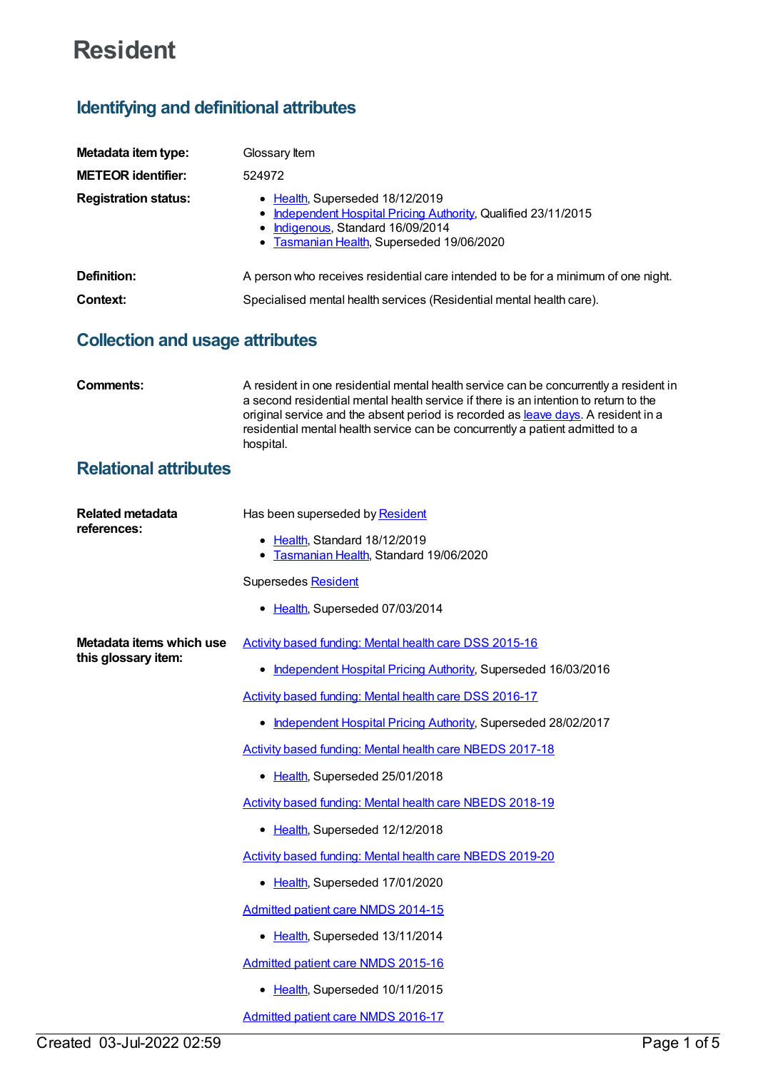# **Resident**

## **Identifying and definitional attributes**

| Metadata item type:         | Glossary Item                                                                                                                                                                       |
|-----------------------------|-------------------------------------------------------------------------------------------------------------------------------------------------------------------------------------|
| <b>METEOR identifier:</b>   | 524972                                                                                                                                                                              |
| <b>Registration status:</b> | • Health, Superseded 18/12/2019<br>• Independent Hospital Pricing Authority, Qualified 23/11/2015<br>• Indigenous, Standard 16/09/2014<br>• Tasmanian Health, Superseded 19/06/2020 |
| Definition:                 | A person who receives residential care intended to be for a minimum of one night.                                                                                                   |
| Context:                    | Specialised mental health services (Residential mental health care).                                                                                                                |

### **Collection and usage attributes**

| Comments:                    | A resident in one residential mental health service can be concurrently a resident in<br>a second residential mental health service if there is an intention to return to the<br>original service and the absent period is recorded as leave days. A resident in a<br>residential mental health service can be concurrently a patient admitted to a<br>hospital. |
|------------------------------|------------------------------------------------------------------------------------------------------------------------------------------------------------------------------------------------------------------------------------------------------------------------------------------------------------------------------------------------------------------|
| <b>Relational attributes</b> |                                                                                                                                                                                                                                                                                                                                                                  |

| <b>Related metadata</b><br>references:          | Has been superseded by Resident                                          |
|-------------------------------------------------|--------------------------------------------------------------------------|
|                                                 | • Health, Standard 18/12/2019<br>• Tasmanian Health, Standard 19/06/2020 |
|                                                 | Supersedes Resident                                                      |
|                                                 | • Health, Superseded 07/03/2014                                          |
| Metadata items which use<br>this glossary item: | Activity based funding: Mental health care DSS 2015-16                   |
|                                                 | Independent Hospital Pricing Authority, Superseded 16/03/2016            |
|                                                 | Activity based funding: Mental health care DSS 2016-17                   |
|                                                 | Independent Hospital Pricing Authority, Superseded 28/02/2017            |
|                                                 | Activity based funding: Mental health care NBEDS 2017-18                 |
|                                                 | • Health, Superseded 25/01/2018                                          |
|                                                 | Activity based funding: Mental health care NBEDS 2018-19                 |
|                                                 | • Health, Superseded 12/12/2018                                          |
|                                                 | Activity based funding: Mental health care NBEDS 2019-20                 |
|                                                 | • Health, Superseded 17/01/2020                                          |
|                                                 | Admitted patient care NMDS 2014-15                                       |
|                                                 | • Health, Superseded 13/11/2014                                          |
|                                                 | Admitted patient care NMDS 2015-16                                       |
|                                                 | Health, Superseded 10/11/2015<br>٠                                       |
|                                                 | Admitted patient care NMDS 2016-17                                       |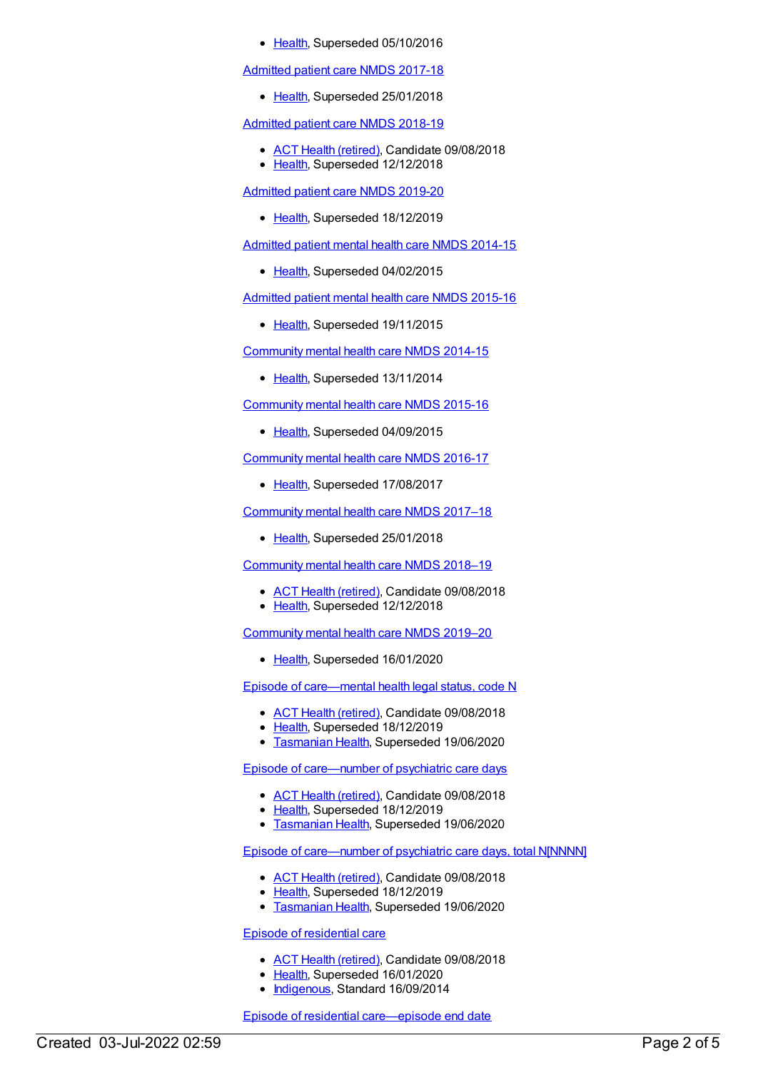• [Health](https://meteor.aihw.gov.au/RegistrationAuthority/12), Superseded 05/10/2016

[Admitted](https://meteor.aihw.gov.au/content/641349) patient care NMDS 2017-18

• [Health](https://meteor.aihw.gov.au/RegistrationAuthority/12), Superseded 25/01/2018

[Admitted](https://meteor.aihw.gov.au/content/676382) patient care NMDS 2018-19

- ACT Health [\(retired\)](https://meteor.aihw.gov.au/RegistrationAuthority/9), Candidate 09/08/2018
- [Health](https://meteor.aihw.gov.au/RegistrationAuthority/12), Superseded 12/12/2018

[Admitted](https://meteor.aihw.gov.au/content/699728) patient care NMDS 2019-20

• [Health](https://meteor.aihw.gov.au/RegistrationAuthority/12), Superseded 18/12/2019

[Admitted](https://meteor.aihw.gov.au/content/553164) patient mental health care NMDS 2014-15

[Health](https://meteor.aihw.gov.au/RegistrationAuthority/12), Superseded 04/02/2015

[Admitted](https://meteor.aihw.gov.au/content/590510) patient mental health care NMDS 2015-16

• [Health](https://meteor.aihw.gov.au/RegistrationAuthority/12), Superseded 19/11/2015

[Community](https://meteor.aihw.gov.au/content/549878) mental health care NMDS 2014-15

• [Health](https://meteor.aihw.gov.au/RegistrationAuthority/12), Superseded 13/11/2014

[Community](https://meteor.aihw.gov.au/content/565694) mental health care NMDS 2015-16

• [Health](https://meteor.aihw.gov.au/RegistrationAuthority/12), Superseded 04/09/2015

[Community](https://meteor.aihw.gov.au/content/608534) mental health care NMDS 2016-17

• [Health](https://meteor.aihw.gov.au/RegistrationAuthority/12), Superseded 17/08/2017

[Community](https://meteor.aihw.gov.au/content/645692) mental health care NMDS 2017–18

• [Health](https://meteor.aihw.gov.au/RegistrationAuthority/12), Superseded 25/01/2018

[Community](https://meteor.aihw.gov.au/content/677802) mental health care NMDS 2018–19

- ACT Health [\(retired\)](https://meteor.aihw.gov.au/RegistrationAuthority/9), Candidate 09/08/2018
- [Health](https://meteor.aihw.gov.au/RegistrationAuthority/12), Superseded 12/12/2018

[Community](https://meteor.aihw.gov.au/content/699975) mental health care NMDS 2019–20

• [Health](https://meteor.aihw.gov.au/RegistrationAuthority/12), Superseded 16/01/2020

Episode of [care—mental](https://meteor.aihw.gov.au/content/534063) health legal status, code N

- ACT Health [\(retired\)](https://meteor.aihw.gov.au/RegistrationAuthority/9), Candidate 09/08/2018
- [Health](https://meteor.aihw.gov.au/RegistrationAuthority/12), Superseded 18/12/2019
- **[Tasmanian](https://meteor.aihw.gov.au/RegistrationAuthority/15) Health, Superseded 19/06/2020**

Episode of [care—number](https://meteor.aihw.gov.au/content/552377) of psychiatric care days

- ACT Health [\(retired\)](https://meteor.aihw.gov.au/RegistrationAuthority/9), Candidate 09/08/2018
- [Health](https://meteor.aihw.gov.au/RegistrationAuthority/12), Superseded 18/12/2019
- **[Tasmanian](https://meteor.aihw.gov.au/RegistrationAuthority/15) Health, Superseded 19/06/2020**

#### Episode of [care—number](https://meteor.aihw.gov.au/content/552375) of psychiatric care days, total N[NNNN]

- ACT Health [\(retired\)](https://meteor.aihw.gov.au/RegistrationAuthority/9), Candidate 09/08/2018
- [Health](https://meteor.aihw.gov.au/RegistrationAuthority/12), Superseded 18/12/2019
- **[Tasmanian](https://meteor.aihw.gov.au/RegistrationAuthority/15) Health, Superseded 19/06/2020**

#### Episode of [residential](https://meteor.aihw.gov.au/content/533521) care

- ACT Health [\(retired\)](https://meteor.aihw.gov.au/RegistrationAuthority/9), Candidate 09/08/2018
- [Health](https://meteor.aihw.gov.au/RegistrationAuthority/12), Superseded 16/01/2020
- [Indigenous](https://meteor.aihw.gov.au/RegistrationAuthority/6), Standard 16/09/2014

Episode of residential [care—episode](https://meteor.aihw.gov.au/content/534032) end date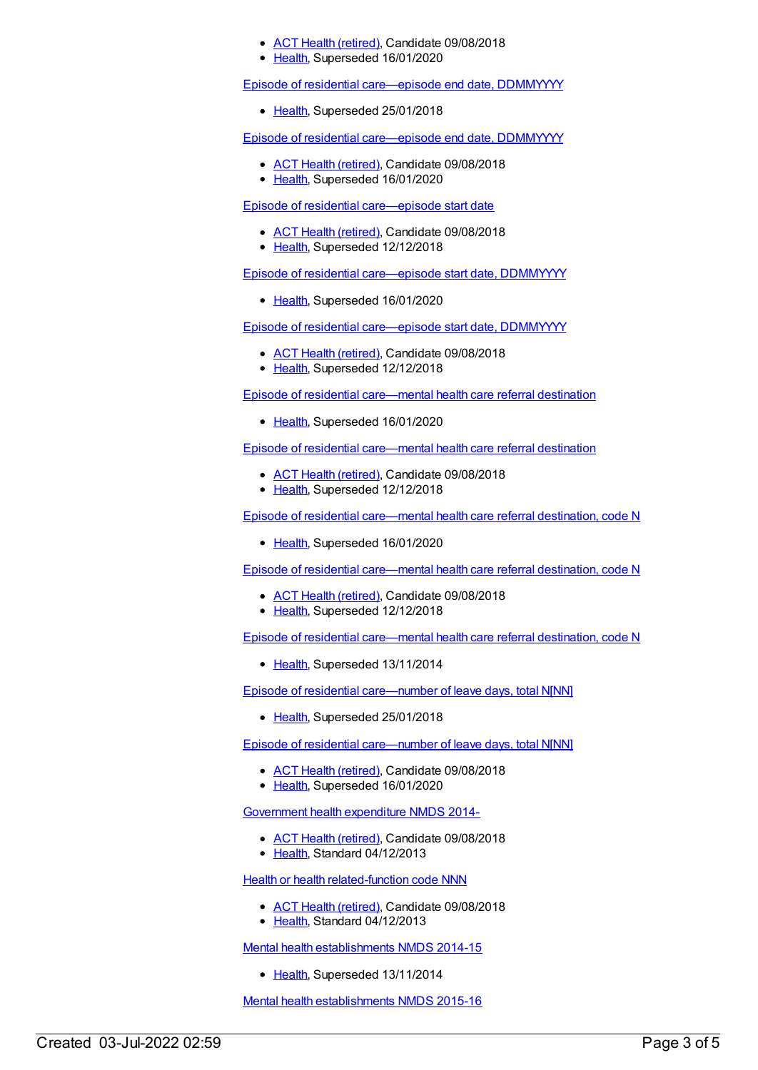- ACT Health [\(retired\)](https://meteor.aihw.gov.au/RegistrationAuthority/9), Candidate 09/08/2018
- [Health](https://meteor.aihw.gov.au/RegistrationAuthority/12), Superseded 16/01/2020

Episode of residential [care—episode](https://meteor.aihw.gov.au/content/534037) end date, DDMMYYYY

• [Health](https://meteor.aihw.gov.au/RegistrationAuthority/12), Superseded 25/01/2018

Episode of residential [care—episode](https://meteor.aihw.gov.au/content/685913) end date, DDMMYYYY

- ACT Health [\(retired\)](https://meteor.aihw.gov.au/RegistrationAuthority/9), Candidate 09/08/2018
- [Health](https://meteor.aihw.gov.au/RegistrationAuthority/12), Superseded 16/01/2020

Episode of residential [care—episode](https://meteor.aihw.gov.au/content/534046) start date

- ACT Health [\(retired\)](https://meteor.aihw.gov.au/RegistrationAuthority/9), Candidate 09/08/2018
- [Health](https://meteor.aihw.gov.au/RegistrationAuthority/12), Superseded 12/12/2018

Episode of residential [care—episode](https://meteor.aihw.gov.au/content/707514) start date, DDMMYYYY

• [Health](https://meteor.aihw.gov.au/RegistrationAuthority/12), Superseded 16/01/2020

Episode of residential [care—episode](https://meteor.aihw.gov.au/content/534048) start date, DDMMYYYY

- ACT Health [\(retired\)](https://meteor.aihw.gov.au/RegistrationAuthority/9), Candidate 09/08/2018
- [Health](https://meteor.aihw.gov.au/RegistrationAuthority/12), Superseded 12/12/2018

Episode of residential [care—mental](https://meteor.aihw.gov.au/content/706678) health care referral destination

• [Health](https://meteor.aihw.gov.au/RegistrationAuthority/12), Superseded 16/01/2020

Episode of residential [care—mental](https://meteor.aihw.gov.au/content/534054) health care referral destination

- ACT Health [\(retired\)](https://meteor.aihw.gov.au/RegistrationAuthority/9), Candidate 09/08/2018
- [Health](https://meteor.aihw.gov.au/RegistrationAuthority/12), Superseded 12/12/2018

Episode of residential [care—mental](https://meteor.aihw.gov.au/content/706676) health care referral destination, code N

• [Health](https://meteor.aihw.gov.au/RegistrationAuthority/12), Superseded 16/01/2020

Episode of residential [care—mental](https://meteor.aihw.gov.au/content/564573) health care referral destination, code N

- ACT Health [\(retired\)](https://meteor.aihw.gov.au/RegistrationAuthority/9), Candidate 09/08/2018
- [Health](https://meteor.aihw.gov.au/RegistrationAuthority/12), Superseded 12/12/2018

Episode of residential [care—mental](https://meteor.aihw.gov.au/content/534056) health care referral destination, code N

• [Health](https://meteor.aihw.gov.au/RegistrationAuthority/12), Superseded 13/11/2014

Episode of residential [care—number](https://meteor.aihw.gov.au/content/534017) of leave days, total N[NN]

• [Health](https://meteor.aihw.gov.au/RegistrationAuthority/12), Superseded 25/01/2018

Episode of residential [care—number](https://meteor.aihw.gov.au/content/685908) of leave days, total N[NN]

- ACT Health [\(retired\)](https://meteor.aihw.gov.au/RegistrationAuthority/9), Candidate 09/08/2018
- [Health](https://meteor.aihw.gov.au/RegistrationAuthority/12), Superseded 16/01/2020

[Government](https://meteor.aihw.gov.au/content/540601) health expenditure NMDS 2014-

- ACT Health [\(retired\)](https://meteor.aihw.gov.au/RegistrationAuthority/9), Candidate 09/08/2018
- Elealth, Standard 04/12/2013

Health or health [related-function](https://meteor.aihw.gov.au/content/533043) code NNN

- ACT Health [\(retired\)](https://meteor.aihw.gov.au/RegistrationAuthority/9), Candidate 09/08/2018
- [Health](https://meteor.aihw.gov.au/RegistrationAuthority/12), Standard 04/12/2013

Mental health [establishments](https://meteor.aihw.gov.au/content/546889) NMDS 2014-15

• [Health](https://meteor.aihw.gov.au/RegistrationAuthority/12), Superseded 13/11/2014

Mental health [establishments](https://meteor.aihw.gov.au/content/565661) NMDS 2015-16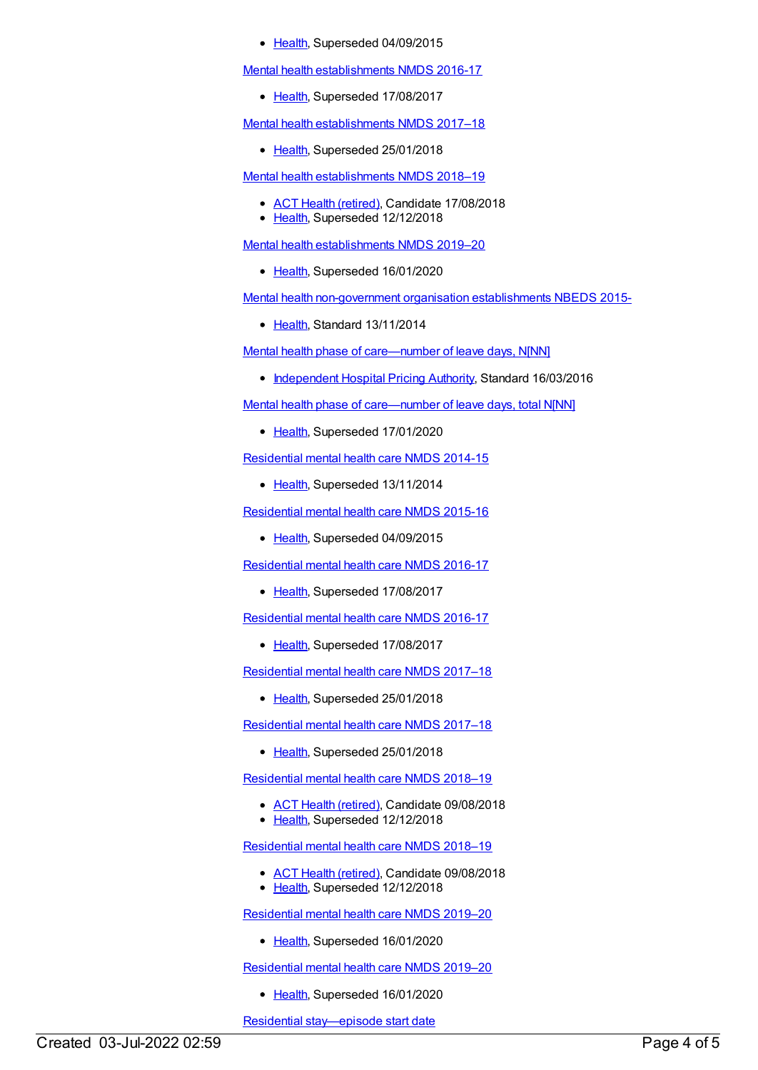#### • [Health](https://meteor.aihw.gov.au/RegistrationAuthority/12), Superseded 04/09/2015

Mental health [establishments](https://meteor.aihw.gov.au/content/605829) NMDS 2016-17

• [Health](https://meteor.aihw.gov.au/RegistrationAuthority/12), Superseded 17/08/2017

Mental health [establishments](https://meteor.aihw.gov.au/content/645723) NMDS 2017–18

• [Health](https://meteor.aihw.gov.au/RegistrationAuthority/12), Superseded 25/01/2018

Mental health [establishments](https://meteor.aihw.gov.au/content/677892) NMDS 2018–19

- ACT Health [\(retired\)](https://meteor.aihw.gov.au/RegistrationAuthority/9), Candidate 17/08/2018
- [Health](https://meteor.aihw.gov.au/RegistrationAuthority/12), Superseded 12/12/2018

Mental health [establishments](https://meteor.aihw.gov.au/content/707557) NMDS 2019–20

[Health](https://meteor.aihw.gov.au/RegistrationAuthority/12), Superseded 16/01/2020

Mental health [non-government](https://meteor.aihw.gov.au/content/494729) organisation establishments NBEDS 2015-

• [Health](https://meteor.aihw.gov.au/RegistrationAuthority/12), Standard 13/11/2014

Mental health phase of [care—number](https://meteor.aihw.gov.au/content/618148) of leave days, N[NN]

• [Independent](https://meteor.aihw.gov.au/RegistrationAuthority/3) Hospital Pricing Authority, Standard 16/03/2016

Mental health phase of [care—number](https://meteor.aihw.gov.au/content/654341) of leave days, total N[NN]

• [Health](https://meteor.aihw.gov.au/RegistrationAuthority/12), Superseded 17/01/2020

[Residential](https://meteor.aihw.gov.au/content/525052) mental health care NMDS 2014-15

• [Health](https://meteor.aihw.gov.au/RegistrationAuthority/12), Superseded 13/11/2014

[Residential](https://meteor.aihw.gov.au/content/565678) mental health care NMDS 2015-16

• [Health](https://meteor.aihw.gov.au/RegistrationAuthority/12), Superseded 04/09/2015

[Residential](https://meteor.aihw.gov.au/content/608539) mental health care NMDS 2016-17

• [Health](https://meteor.aihw.gov.au/RegistrationAuthority/12), Superseded 17/08/2017

[Residential](https://meteor.aihw.gov.au/content/608539) mental health care NMDS 2016-17

• [Health](https://meteor.aihw.gov.au/RegistrationAuthority/12), Superseded 17/08/2017

[Residential](https://meteor.aihw.gov.au/content/645718) mental health care NMDS 2017–18

• [Health](https://meteor.aihw.gov.au/RegistrationAuthority/12), Superseded 25/01/2018

[Residential](https://meteor.aihw.gov.au/content/645718) mental health care NMDS 2017–18

• [Health](https://meteor.aihw.gov.au/RegistrationAuthority/12), Superseded 25/01/2018

[Residential](https://meteor.aihw.gov.au/content/685927) mental health care NMDS 2018–19

- ACT Health [\(retired\)](https://meteor.aihw.gov.au/RegistrationAuthority/9), Candidate 09/08/2018
- [Health](https://meteor.aihw.gov.au/RegistrationAuthority/12), Superseded 12/12/2018

[Residential](https://meteor.aihw.gov.au/content/685927) mental health care NMDS 2018–19

• ACT Health [\(retired\)](https://meteor.aihw.gov.au/RegistrationAuthority/9), Candidate 09/08/2018 • [Health](https://meteor.aihw.gov.au/RegistrationAuthority/12), Superseded 12/12/2018

[Residential](https://meteor.aihw.gov.au/content/707512) mental health care NMDS 2019–20

• [Health](https://meteor.aihw.gov.au/RegistrationAuthority/12), Superseded 16/01/2020

[Residential](https://meteor.aihw.gov.au/content/707512) mental health care NMDS 2019–20

• [Health](https://meteor.aihw.gov.au/RegistrationAuthority/12), Superseded 16/01/2020

Residential [stay—episode](https://meteor.aihw.gov.au/content/534059) start date